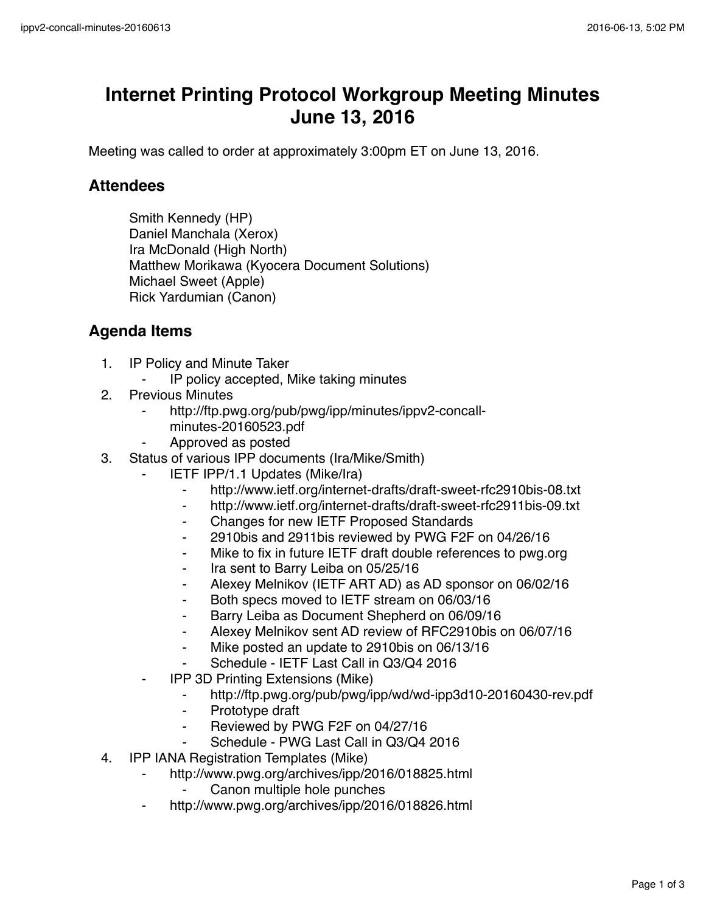## **Internet Printing Protocol Workgroup Meeting Minutes June 13, 2016**

Meeting was called to order at approximately 3:00pm ET on June 13, 2016.

## **Attendees**

Smith Kennedy (HP) Daniel Manchala (Xerox) Ira McDonald (High North) Matthew Morikawa (Kyocera Document Solutions) Michael Sweet (Apple) Rick Yardumian (Canon)

## **Agenda Items**

- 1. IP Policy and Minute Taker
	- IP policy accepted, Mike taking minutes
- 2. Previous Minutes
	- http://ftp.pwg.org/pub/pwg/ipp/minutes/ippv2-concallminutes-20160523.pdf
	- ⁃ Approved as posted
- 3. Status of various IPP documents (Ira/Mike/Smith)
	- **IETF IPP/1.1 Updates (Mike/Ira)** 
		- ⁃ http://www.ietf.org/internet-drafts/draft-sweet-rfc2910bis-08.txt
		- ⁃ http://www.ietf.org/internet-drafts/draft-sweet-rfc2911bis-09.txt
		- ⁃ Changes for new IETF Proposed Standards
		- ⁃ 2910bis and 2911bis reviewed by PWG F2F on 04/26/16
		- Mike to fix in future IETF draft double references to pwg.org
		- Ira sent to Barry Leiba on 05/25/16
		- Alexey Melnikov (IETF ART AD) as AD sponsor on 06/02/16
		- ⁃ Both specs moved to IETF stream on 06/03/16
		- ⁃ Barry Leiba as Document Shepherd on 06/09/16
		- Alexey Melnikov sent AD review of RFC2910bis on 06/07/16
		- ⁃ Mike posted an update to 2910bis on 06/13/16
		- Schedule IETF Last Call in Q3/Q4 2016
	- **IPP 3D Printing Extensions (Mike)** 
		- ⁃ http://ftp.pwg.org/pub/pwg/ipp/wd/wd-ipp3d10-20160430-rev.pdf
		- ⁃ Prototype draft
		- Reviewed by PWG F2F on 04/27/16
		- Schedule PWG Last Call in Q3/Q4 2016
- 4. IPP IANA Registration Templates (Mike)
	- ⁃ http://www.pwg.org/archives/ipp/2016/018825.html
		- Canon multiple hole punches
	- http://www.pwg.org/archives/ipp/2016/018826.html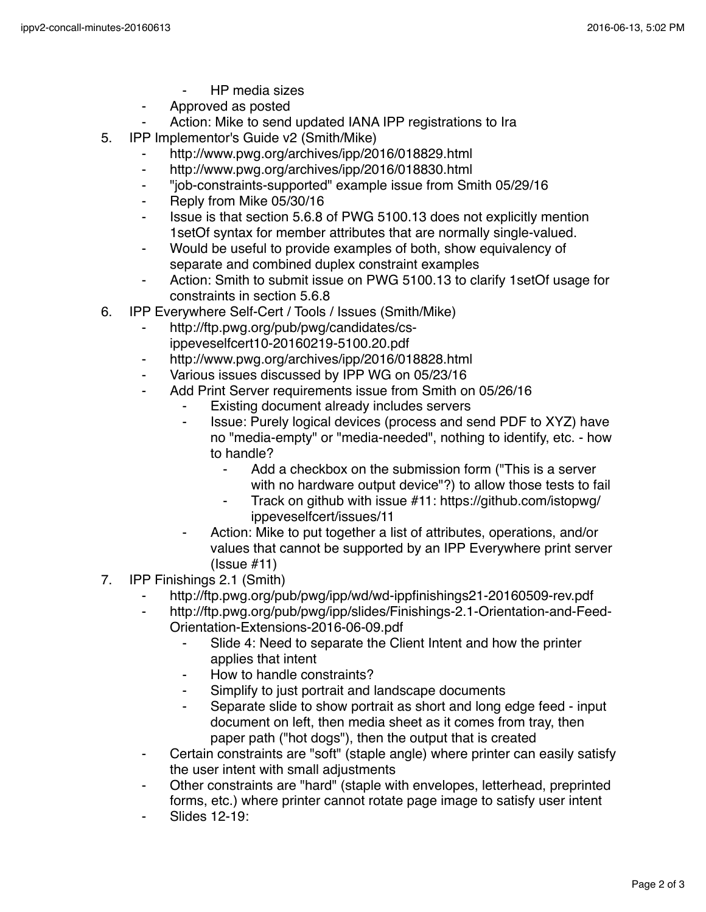- **HP** media sizes
- ⁃ Approved as posted
- Action: Mike to send updated IANA IPP registrations to Ira
- 5. IPP Implementor's Guide v2 (Smith/Mike)
	- http://www.pwg.org/archives/ipp/2016/018829.html
	- http://www.pwg.org/archives/ipp/2016/018830.html
	- ⁃ "job-constraints-supported" example issue from Smith 05/29/16
	- ⁃ Reply from Mike 05/30/16
	- ⁃ Issue is that section 5.6.8 of PWG 5100.13 does not explicitly mention 1setOf syntax for member attributes that are normally single-valued.
	- ⁃ Would be useful to provide examples of both, show equivalency of separate and combined duplex constraint examples
	- Action: Smith to submit issue on PWG 5100.13 to clarify 1setOf usage for constraints in section 5.6.8
- 6. IPP Everywhere Self-Cert / Tools / Issues (Smith/Mike)
	- http://ftp.pwg.org/pub/pwg/candidates/csippeveselfcert10-20160219-5100.20.pdf
	- http://www.pwg.org/archives/ipp/2016/018828.html
	- Various issues discussed by IPP WG on 05/23/16
	- Add Print Server requirements issue from Smith on 05/26/16
		- Existing document already includes servers
		- ⁃ Issue: Purely logical devices (process and send PDF to XYZ) have no "media-empty" or "media-needed", nothing to identify, etc. - how to handle?
			- ⁃ Add a checkbox on the submission form ("This is a server with no hardware output device"?) to allow those tests to fail
			- ⁃ Track on github with issue #11: https://github.com/istopwg/ ippeveselfcert/issues/11
		- Action: Mike to put together a list of attributes, operations, and/or values that cannot be supported by an IPP Everywhere print server (Issue #11)
- 7. IPP Finishings 2.1 (Smith)
	- http://ftp.pwg.org/pub/pwg/ipp/wd/wd-ippfinishings21-20160509-rev.pdf
	- http://ftp.pwg.org/pub/pwg/ipp/slides/Finishings-2.1-Orientation-and-Feed-Orientation-Extensions-2016-06-09.pdf
		- Slide 4: Need to separate the Client Intent and how the printer applies that intent
		- How to handle constraints?
		- Simplify to just portrait and landscape documents
		- Separate slide to show portrait as short and long edge feed input document on left, then media sheet as it comes from tray, then paper path ("hot dogs"), then the output that is created
	- Certain constraints are "soft" (staple angle) where printer can easily satisfy the user intent with small adjustments
	- Other constraints are "hard" (staple with envelopes, letterhead, preprinted forms, etc.) where printer cannot rotate page image to satisfy user intent
	- Slides 12-19: